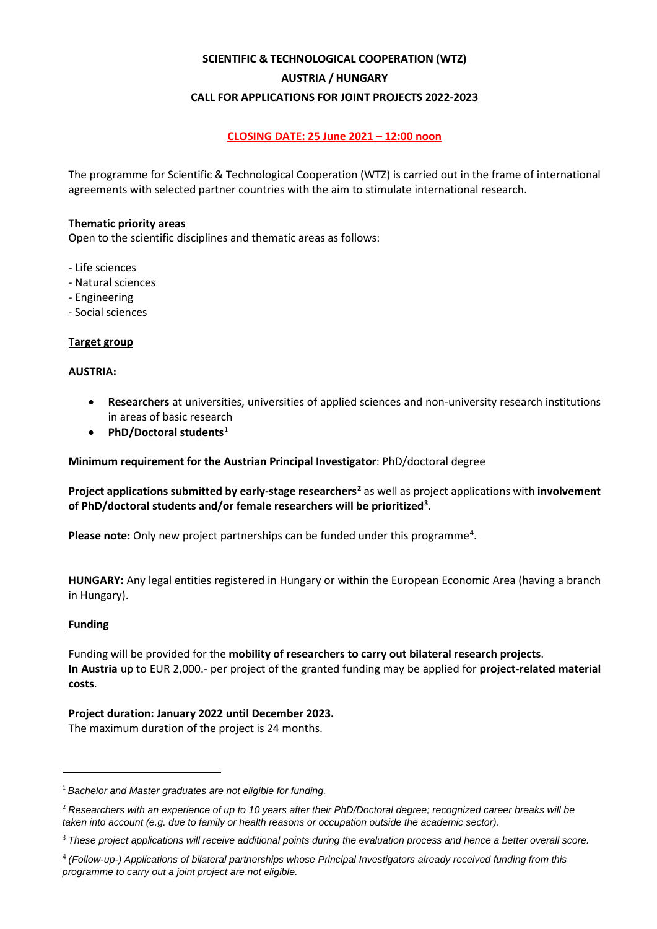# **SCIENTIFIC & TECHNOLOGICAL COOPERATION (WTZ) AUSTRIA / HUNGARY CALL FOR APPLICATIONS FOR JOINT PROJECTS 2022-2023**

# **CLOSING DATE: 25 June 2021 – 12:00 noon**

The programme for Scientific & Technological Cooperation (WTZ) is carried out in the frame of international agreements with selected partner countries with the aim to stimulate international research.

## **Thematic priority areas**

Open to the scientific disciplines and thematic areas as follows:

- Life sciences
- Natural sciences
- Engineering
- Social sciences

# **Target group**

## **AUSTRIA:**

- **Researchers** at universities, universities of applied sciences and non-university research institutions in areas of basic research
- **PhD/Doctoral students**[1](#page-0-0)

**Minimum requirement for the Austrian Principal Investigator**: PhD/doctoral degree

**Project applications submitted by early-stage researchers[2](#page-0-1)** as well as project applications with **involvement of PhD/doctoral students and/or female researchers will be prioritized[3](#page-0-2)** .

Please note: Only new project partnerships can be funded under this programme<sup>[4](#page-0-3)</sup>.

**HUNGARY:** Any legal entities registered in Hungary or within the European Economic Area (having a branch in Hungary).

## **Funding**

Funding will be provided for the **mobility of researchers to carry out bilateral research projects**. **In Austria** up to EUR 2,000.- per project of the granted funding may be applied for **project-related material costs**.

## **Project duration: January 2022 until December 2023.**

The maximum duration of the project is 24 months.

<span id="page-0-0"></span><sup>1</sup> *Bachelor and Master graduates are not eligible for funding.*

<span id="page-0-1"></span><sup>2</sup> *Researchers with an experience of up to 10 years after their PhD/Doctoral degree; recognized career breaks will be taken into account (e.g. due to family or health reasons or occupation outside the academic sector).*

<span id="page-0-2"></span><sup>3</sup> *These project applications will receive additional points during the evaluation process and hence a better overall score.*

<span id="page-0-3"></span><sup>4</sup> *(Follow-up-) Applications of bilateral partnerships whose Principal Investigators already received funding from this programme to carry out a joint project are not eligible.*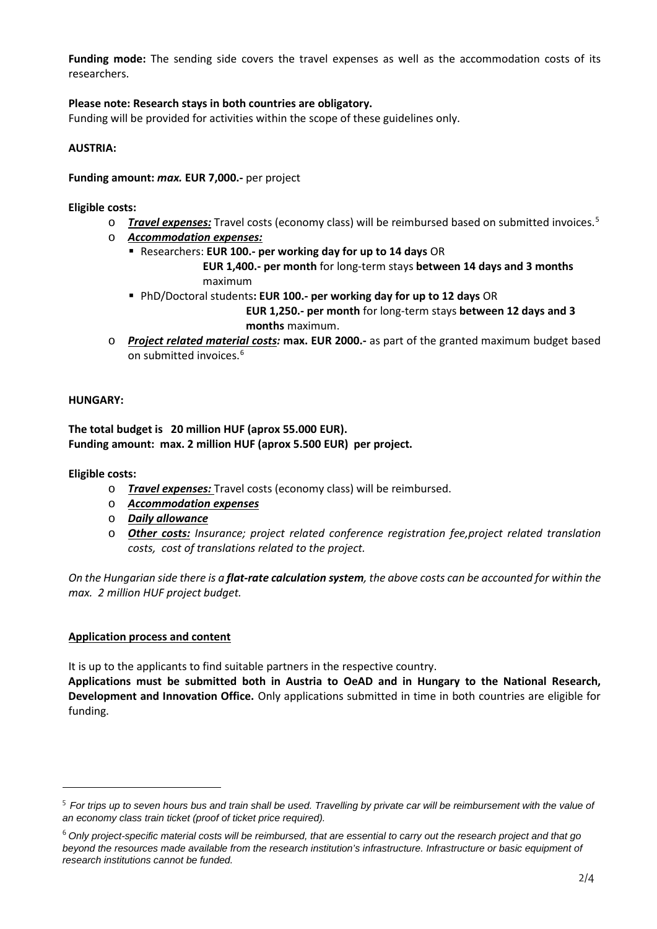**Funding mode:** The sending side covers the travel expenses as well as the accommodation costs of its researchers.

# **Please note: Research stays in both countries are obligatory.**

Funding will be provided for activities within the scope of these guidelines only.

## **AUSTRIA:**

## **Funding amount:** *max.* **EUR 7,000.-** per project

## **Eligible costs:**

- o *Travel expenses:* Travel costs (economy class) will be reimbursed based on submitted invoices.[5](#page-1-0)
- o *Accommodation expenses:*
	- Researchers: **EUR 100.- per working day for up to 14 days** OR

 **EUR 1,400.- per month** for long-term stays **between 14 days and 3 months** maximum

- PhD/Doctoral students**: EUR 100.- per working day for up to 12 days** OR  **EUR 1,250.- per month** for long-term stays **between 12 days and 3 months** maximum.
- o *Project related material costs:* **max. EUR 2000.-** as part of the granted maximum budget based on submitted invoices.<sup>[6](#page-1-1)</sup>

## **HUNGARY:**

## **The total budget is 20 million HUF (aprox 55.000 EUR). Funding amount: max. 2 million HUF (aprox 5.500 EUR) per project.**

**Eligible costs:**

- o *Travel expenses:* Travel costs (economy class) will be reimbursed.
- o *Accommodation expenses*
- o *Daily allowance*
- o *Other costs: Insurance; project related conference registration fee,project related translation costs, cost of translations related to the project.*

*On the Hungarian side there is a flat-rate calculation system, the above costs can be accounted for within the max. 2 million HUF project budget.*

# **Application process and content**

It is up to the applicants to find suitable partners in the respective country.

**Applications must be submitted both in Austria to OeAD and in Hungary to the National Research, Development and Innovation Office.** Only applications submitted in time in both countries are eligible for funding.

<span id="page-1-0"></span><sup>5</sup> *For trips up to seven hours bus and train shall be used. Travelling by private car will be reimbursement with the value of an economy class train ticket (proof of ticket price required).*

<span id="page-1-1"></span><sup>6</sup> *Only project-specific material costs will be reimbursed, that are essential to carry out the research project and that go beyond the resources made available from the research institution's infrastructure. Infrastructure or basic equipment of research institutions cannot be funded.*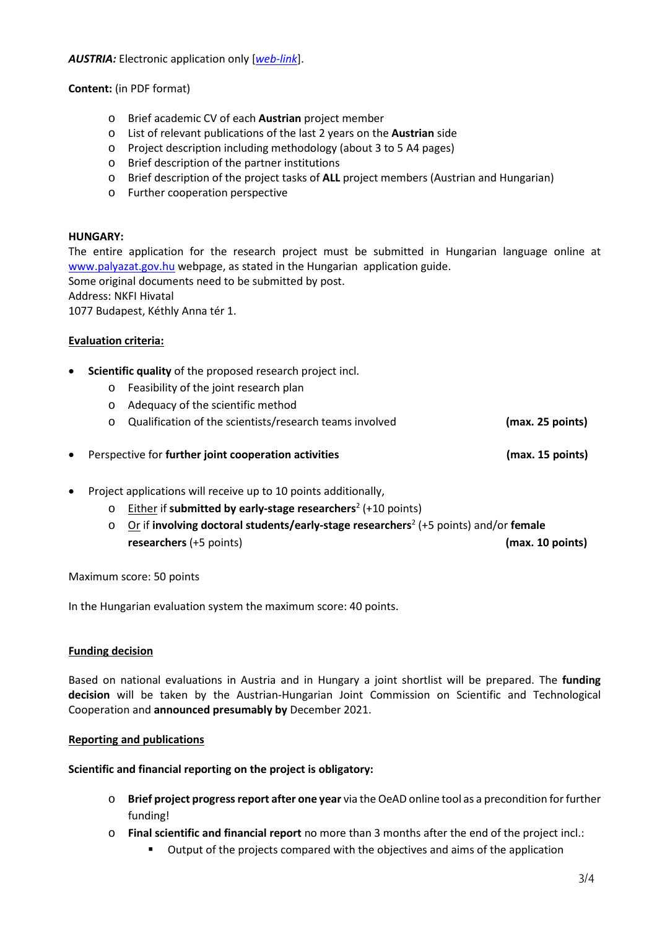*AUSTRIA:* Electronic application only [*[web-link](https://asp.sop.co.at/oead/antrag?call=HU2022)*].

**Content:** (in PDF format)

- o Brief academic CV of each **Austrian** project member
- o List of relevant publications of the last 2 years on the **Austrian** side
- o Project description including methodology (about 3 to 5 A4 pages)
- o Brief description of the partner institutions
- o Brief description of the project tasks of **ALL** project members (Austrian and Hungarian)
- o Further cooperation perspective

## **HUNGARY:**

The entire application for the research project must be submitted in Hungarian language online at [www.palyazat.gov.hu](http://www.palyazat.gov.hu/) webpage, as stated in the Hungarian application guide.

Some original documents need to be submitted by post.

Address: NKFI Hivatal

1077 Budapest, Kéthly Anna tér 1.

## **Evaluation criteria:**

- **Scientific quality** of the proposed research project incl.
	- o Feasibility of the joint research plan
	- o Adequacy of the scientific method
	- o Qualification of the scientists/research teams involved **(max. 25 points)**

• Perspective for **further joint cooperation activities (max. 15 points)**

- Project applications will receive up to 10 points additionally,
	- o Either if **submitted by early-stage researchers**<sup>2</sup> (+10 points)
	- o Or if **involving doctoral students/early-stage researchers**<sup>2</sup> (+5 points) and/or **female researchers** (+5 points) **(max. 10 points)**

Maximum score: 50 points

In the Hungarian evaluation system the maximum score: 40 points.

# **Funding decision**

Based on national evaluations in Austria and in Hungary a joint shortlist will be prepared. The **funding decision** will be taken by the Austrian-Hungarian Joint Commission on Scientific and Technological Cooperation and **announced presumably by** December 2021.

## **Reporting and publications**

**Scientific and financial reporting on the project is obligatory:**

- o **Brief project progress report after one year** via the OeAD online tool as a precondition for further funding!
- o **Final scientific and financial report** no more than 3 months after the end of the project incl.:
	- Output of the projects compared with the objectives and aims of the application